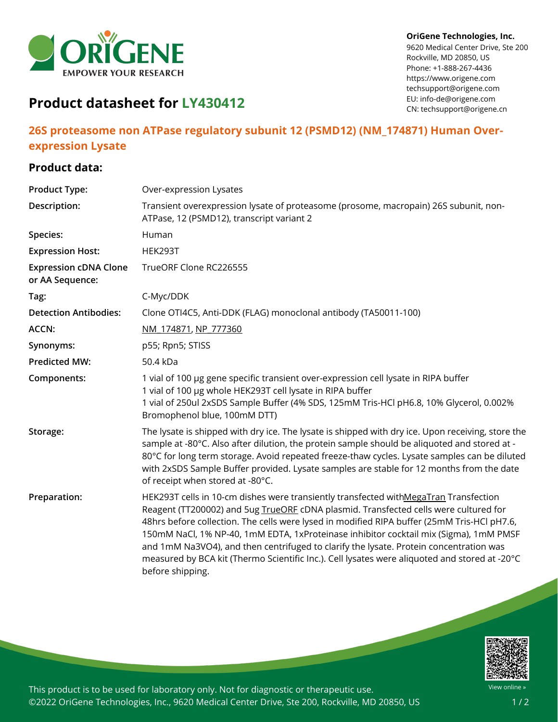

#### **OriGene Technologies, Inc.**

9620 Medical Center Drive, Ste 200 Rockville, MD 20850, US Phone: +1-888-267-4436 https://www.origene.com techsupport@origene.com EU: info-de@origene.com CN: techsupport@origene.cn

# **Product datasheet for LY430412**

## **26S proteasome non ATPase regulatory subunit 12 (PSMD12) (NM\_174871) Human Overexpression Lysate**

## **Product data:**

| <b>Product Type:</b>                            | Over-expression Lysates                                                                                                                                                                                                                                                                                                                                                                                                                                                                                                                                                             |
|-------------------------------------------------|-------------------------------------------------------------------------------------------------------------------------------------------------------------------------------------------------------------------------------------------------------------------------------------------------------------------------------------------------------------------------------------------------------------------------------------------------------------------------------------------------------------------------------------------------------------------------------------|
| Description:                                    | Transient overexpression lysate of proteasome (prosome, macropain) 26S subunit, non-<br>ATPase, 12 (PSMD12), transcript variant 2                                                                                                                                                                                                                                                                                                                                                                                                                                                   |
| <b>Species:</b>                                 | Human                                                                                                                                                                                                                                                                                                                                                                                                                                                                                                                                                                               |
| <b>Expression Host:</b>                         | HEK293T                                                                                                                                                                                                                                                                                                                                                                                                                                                                                                                                                                             |
| <b>Expression cDNA Clone</b><br>or AA Sequence: | TrueORF Clone RC226555                                                                                                                                                                                                                                                                                                                                                                                                                                                                                                                                                              |
| Tag:                                            | C-Myc/DDK                                                                                                                                                                                                                                                                                                                                                                                                                                                                                                                                                                           |
| <b>Detection Antibodies:</b>                    | Clone OTI4C5, Anti-DDK (FLAG) monoclonal antibody (TA50011-100)                                                                                                                                                                                                                                                                                                                                                                                                                                                                                                                     |
| <b>ACCN:</b>                                    | NM 174871, NP 777360                                                                                                                                                                                                                                                                                                                                                                                                                                                                                                                                                                |
| Synonyms:                                       | p55; Rpn5; STISS                                                                                                                                                                                                                                                                                                                                                                                                                                                                                                                                                                    |
| <b>Predicted MW:</b>                            | 50.4 kDa                                                                                                                                                                                                                                                                                                                                                                                                                                                                                                                                                                            |
| Components:                                     | 1 vial of 100 µg gene specific transient over-expression cell lysate in RIPA buffer<br>1 vial of 100 µg whole HEK293T cell lysate in RIPA buffer<br>1 vial of 250ul 2xSDS Sample Buffer (4% SDS, 125mM Tris-HCl pH6.8, 10% Glycerol, 0.002%<br>Bromophenol blue, 100mM DTT)                                                                                                                                                                                                                                                                                                         |
| Storage:                                        | The lysate is shipped with dry ice. The lysate is shipped with dry ice. Upon receiving, store the<br>sample at -80°C. Also after dilution, the protein sample should be aliquoted and stored at -<br>80°C for long term storage. Avoid repeated freeze-thaw cycles. Lysate samples can be diluted<br>with 2xSDS Sample Buffer provided. Lysate samples are stable for 12 months from the date<br>of receipt when stored at -80°C.                                                                                                                                                   |
| Preparation:                                    | HEK293T cells in 10-cm dishes were transiently transfected withMegaTran Transfection<br>Reagent (TT200002) and 5ug TrueORE cDNA plasmid. Transfected cells were cultured for<br>48hrs before collection. The cells were lysed in modified RIPA buffer (25mM Tris-HCl pH7.6,<br>150mM NaCl, 1% NP-40, 1mM EDTA, 1xProteinase inhibitor cocktail mix (Sigma), 1mM PMSF<br>and 1mM Na3VO4), and then centrifuged to clarify the lysate. Protein concentration was<br>measured by BCA kit (Thermo Scientific Inc.). Cell lysates were aliquoted and stored at -20°C<br>before shipping. |



This product is to be used for laboratory only. Not for diagnostic or therapeutic use. ©2022 OriGene Technologies, Inc., 9620 Medical Center Drive, Ste 200, Rockville, MD 20850, US